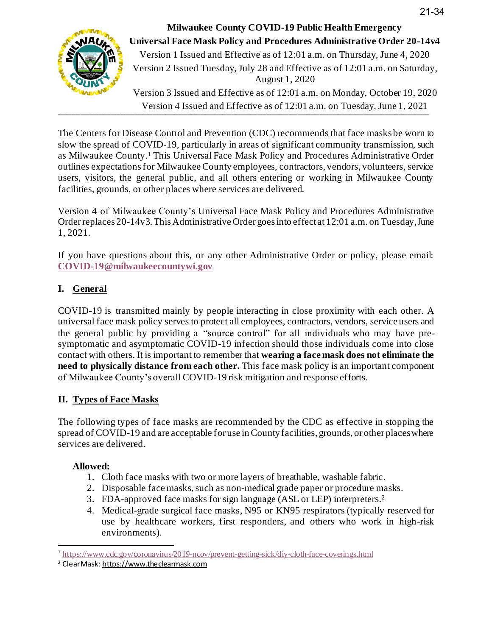

Version 4 Issued and Effective as of 12:01 a.m. on Tuesday, June 1, 2021 **Milwaukee County COVID-19 Public Health Emergency Universal Face Mask Policy and Procedures Administrative Order 20-14v4** Version 1 Issued and Effective as of 12:01 a.m. on Thursday, June 4, 2020 Version 2 Issued Tuesday, July 28 and Effective as of 12:01 a.m. on Saturday, August 1, 2020 Version 3 Issued and Effective as of 12:01 a.m. on Monday, October 19, 2020

The Centers for Disease Control and Prevention (CDC) recommends that face masks be worn to slow the spread of COVID-19, particularly in areas of significant community transmission, such as Milwaukee County.<sup>1</sup> This Universal Face Mask Policy and Procedures Administrative Order outlines expectations for Milwaukee County employees, contractors, vendors, volunteers, service users, visitors, the general public, and all others entering or working in Milwaukee County facilities, grounds, or other places where services are delivered.

Version 4 of Milwaukee County's Universal Face Mask Policy and Procedures Administrative Order replaces 20-14v3. This Administrative Order goes into effect at 12:01 a.m. on Tuesday, June 1, 2021.

If you have questions about this, or any other Administrative Order or policy, please email: **[COVID-19@milwaukeecountywi.gov](mailto:COVID-19@milwaukeecountywi.gov)**

# **I. General**

COVID-19 is transmitted mainly by people interacting in close proximity with each other. A universal face mask policy serves to protect all employees, contractors, vendors, service users and the general public by providing a "source control" for all individuals who may have presymptomatic and asymptomatic COVID-19 infection should those individuals come into close contact with others. It is important to remember that **wearing a face mask does not eliminate the need to physically distance from each other.** This face mask policy is an important component of Milwaukee County's overall COVID-19 risk mitigation and response efforts.

# **II. Types of Face Masks**

The following types of face masks are recommended by the CDC as effective in stopping the spread of COVID-19 and are acceptable for use in County facilities, grounds, or other places where services are delivered.

# **Allowed:**

- 1. Cloth face masks with two or more layers of breathable, washable fabric.
- 2. Disposable face masks, such as non-medical grade paper or procedure masks.
- 3. FDA-approved face masks for sign language (ASL or LEP) interpreters. 2
- 4. Medical-grade surgical face masks, N95 or KN95 respirators (typically reserved for use by healthcare workers, first responders, and others who work in high-risk environments).

<sup>&</sup>lt;sup>1</sup> <https://www.cdc.gov/coronavirus/2019-ncov/prevent-getting-sick/diy-cloth-face-coverings.html>

<sup>2</sup> ClearMask: [https://www.theclearmask.com](https://gcc01.safelinks.protection.outlook.com/?url=https%3A%2F%2Fwww.theclearmask.com%2F&data=02%7C01%7Croberta.drews%40milwaukeecountywi.gov%7Cef681a4d43764e5ce4b808d869622841%7Cab0c01f619e54e299dab4d03f82b6495%7C0%7C1%7C637375217599660124&sdata=miVTZrzDFqva3fiwTnhV%2B%2F%2FqQLxXY69ABYhEI%2Fl9e%2Bw%3D&reserved=0)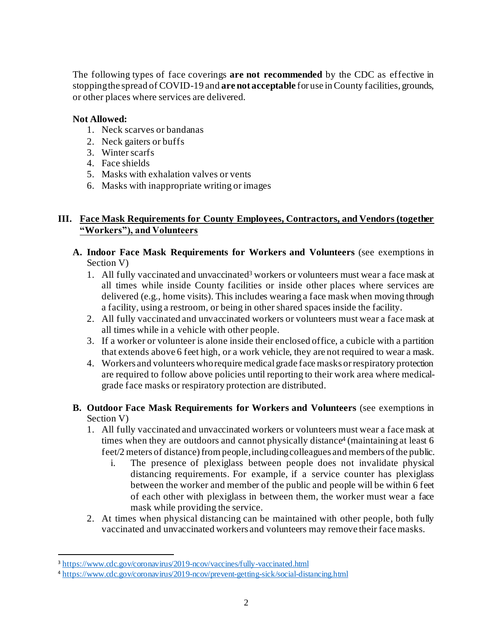The following types of face coverings **are not recommended** by the CDC as effective in stopping the spread of COVID-19 and **are not acceptable** for use in County facilities, grounds, or other places where services are delivered.

#### **Not Allowed:**

- 1. Neck scarves or bandanas
- 2. Neck gaiters or buffs
- 3. Winter scarfs
- 4. Face shields
- 5. Masks with exhalation valves or vents
- 6. Masks with inappropriate writing or images

# **III. Face Mask Requirements for County Employees, Contractors, and Vendors (together "Workers"), and Volunteers**

- **A. Indoor Face Mask Requirements for Workers and Volunteers** (see exemptions in Section V)
	- 1. All fully vaccinated and unvaccinated<sup>3</sup> workers or volunteers must wear a face mask at all times while inside County facilities or inside other places where services are delivered (e.g., home visits). This includes wearing a face mask when moving through a facility, using a restroom, or being in other shared spaces inside the facility.
	- 2. All fully vaccinated and unvaccinated workers or volunteers must wear a face mask at all times while in a vehicle with other people.
	- 3. If a worker or volunteer is alone inside their enclosed office, a cubicle with a partition that extends above 6 feet high, or a work vehicle, they are not required to wear a mask.
	- 4. Workers and volunteers whorequire medical grade face masks or respiratory protection are required to follow above policies until reporting to their work area where medicalgrade face masks or respiratory protection are distributed.

#### **B. Outdoor Face Mask Requirements for Workers and Volunteers** (see exemptions in Section V)

- 1. All fully vaccinated and unvaccinated workers or volunteers must wear a face mask at times when they are outdoors and cannot physically distance 4 (maintaining at least 6 feet/2 meters of distance) from people, including colleagues and members of the public.
	- i. The presence of plexiglass between people does not invalidate physical distancing requirements. For example, if a service counter has plexiglass between the worker and member of the public and people will be within 6 feet of each other with plexiglass in between them, the worker must wear a face mask while providing the service.
- 2. At times when physical distancing can be maintained with other people, both fully vaccinated and unvaccinated workers and volunteers may remove their face masks.

<sup>3</sup> <https://www.cdc.gov/coronavirus/2019-ncov/vaccines/fully-vaccinated.html>

<sup>4</sup> <https://www.cdc.gov/coronavirus/2019-ncov/prevent-getting-sick/social-distancing.html>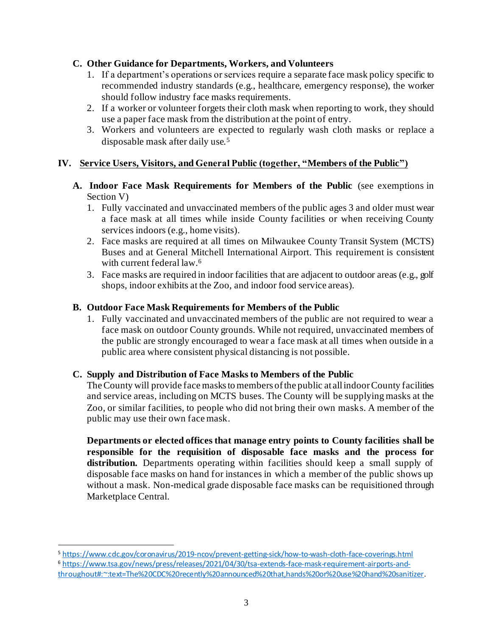### **C. Other Guidance for Departments, Workers, and Volunteers**

- 1. If a department's operations or services require a separate face mask policy specific to recommended industry standards (e.g., healthcare, emergency response), the worker should follow industry face masks requirements.
- 2. If a worker or volunteer forgets their cloth mask when reporting to work, they should use a paper face mask from the distribution at the point of entry.
- 3. Workers and volunteers are expected to regularly wash cloth masks or replace a disposable mask after daily use.<sup>5</sup>

#### **IV. Service Users, Visitors, and General Public (together, "Members of the Public")**

- **A. Indoor Face Mask Requirements for Members of the Public** (see exemptions in Section V)
	- 1. Fully vaccinated and unvaccinated members of the public ages 3 and older must wear a face mask at all times while inside County facilities or when receiving County services indoors (e.g., home visits).
	- 2. Face masks are required at all times on Milwaukee County Transit System (MCTS) Buses and at General Mitchell International Airport. This requirement is consistent with current federal law. 6
	- 3. Face masks are required in indoor facilities that are adjacent to outdoor areas (e.g., golf shops, indoor exhibits at the Zoo, and indoor food service areas).

### **B. Outdoor Face Mask Requirements for Members of the Public**

1. Fully vaccinated and unvaccinated members of the public are not required to wear a face mask on outdoor County grounds. While not required, unvaccinated members of the public are strongly encouraged to wear a face mask at all times when outside in a public area where consistent physical distancing is not possible.

#### **C. Supply and Distribution of Face Masks to Members of the Public**

The County will provide face masks to members of the public at all indoor County facilities and service areas, including on MCTS buses. The County will be supplying masks at the Zoo, or similar facilities, to people who did not bring their own masks. A member of the public may use their own face mask.

**Departments or elected offices that manage entry points to County facilities shall be responsible for the requisition of disposable face masks and the process for distribution.** Departments operating within facilities should keep a small supply of disposable face masks on hand for instances in which a member of the public shows up without a mask. Non-medical grade disposable face masks can be requisitioned through Marketplace Central.

<sup>5</sup> <https://www.cdc.gov/coronavirus/2019-ncov/prevent-getting-sick/how-to-wash-cloth-face-coverings.html>

<sup>6</sup> [https://www.tsa.gov/news/press/releases/2021/04/30/tsa-extends-face-mask-requirement-airports-and](https://www.tsa.gov/news/press/releases/2021/04/30/tsa-extends-face-mask-requirement-airports-and-throughout#:~:text=The%20CDC%20recently%20announced%20that,hands%20or%20use%20hand%20sanitizer)[throughout#:~:text=The%20CDC%20recently%20announced%20that,hands%20or%20use%20hand%20sanitizer](https://www.tsa.gov/news/press/releases/2021/04/30/tsa-extends-face-mask-requirement-airports-and-throughout#:~:text=The%20CDC%20recently%20announced%20that,hands%20or%20use%20hand%20sanitizer).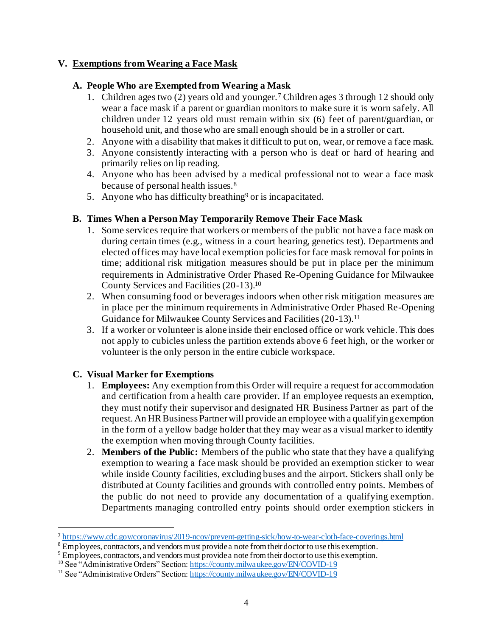#### **V. Exemptions from Wearing a Face Mask**

#### **A. People Who are Exempted from Wearing a Mask**

- 1. Children ages two (2) years old and younger.<sup>7</sup> Children ages 3 through 12 should only wear a face mask if a parent or guardian monitors to make sure it is worn safely. All children under 12 years old must remain within six (6) feet of parent/guardian, or household unit, and those who are small enough should be in a stroller or cart.
- 2. Anyone with a disability that makes it difficult to put on, wear, or remove a face mask.
- 3. Anyone consistently interacting with a person who is deaf or hard of hearing and primarily relies on lip reading.
- 4. Anyone who has been advised by a medical professional not to wear a face mask because of personal health issues.<sup>8</sup>
- 5. Anyone who has difficulty breathing<sup>9</sup> or is incapacitated.

#### **B. Times When a Person May Temporarily Remove Their Face Mask**

- 1. Some services require that workers or members of the public not have a face mask on during certain times (e.g., witness in a court hearing, genetics test). Departments and elected offices may have local exemption policies for face mask removal for points in time; additional risk mitigation measures should be put in place per the minimum requirements in Administrative Order Phased Re-Opening Guidance for Milwaukee County Services and Facilities (20-13).<sup>10</sup>
- 2. When consuming food or beverages indoors when other risk mitigation measures are in place per the minimum requirements in Administrative Order Phased Re-Opening Guidance for Milwaukee County Services and Facilities (20-13). 11
- 3. If a worker or volunteer is alone inside their enclosed office or work vehicle. This does not apply to cubicles unless the partition extends above 6 feet high, or the worker or volunteer is the only person in the entire cubicle workspace.

#### **C. Visual Marker for Exemptions**

- 1. **Employees:** Any exemption from this Order will require a request for accommodation and certification from a health care provider. If an employee requests an exemption, they must notify their supervisor and designated HR Business Partner as part of the request. An HR Business Partner will provide an employee with a qualifying exemption in the form of a yellow badge holder that they may wear as a visual marker to identify the exemption when moving through County facilities.
- 2. **Members of the Public:** Members of the public who state that they have a qualifying exemption to wearing a face mask should be provided an exemption sticker to wear while inside County facilities, excluding buses and the airport. Stickers shall only be distributed at County facilities and grounds with controlled entry points. Members of the public do not need to provide any documentation of a qualifying exemption. Departments managing controlled entry points should order exemption stickers in

<sup>7</sup> <https://www.cdc.gov/coronavirus/2019-ncov/prevent-getting-sick/how-to-wear-cloth-face-coverings.html>

 $8 \text{Employees}$ , contractors, and vendors must provide a note from their doctor to use this exemption.

<sup>&</sup>lt;sup>9</sup> Employees, contractors, and vendors must provide a note from their doctor to use this exemption.

<sup>&</sup>lt;sup>10</sup> See "Administrative Orders" Section[: https://county.milwaukee.gov/EN/COVID-19](https://county.milwaukee.gov/EN/COVID-19)

<sup>&</sup>lt;sup>11</sup> See "Administrative Orders" Section[: https://county.milwaukee.gov/EN/COVID-19](https://county.milwaukee.gov/EN/COVID-19)